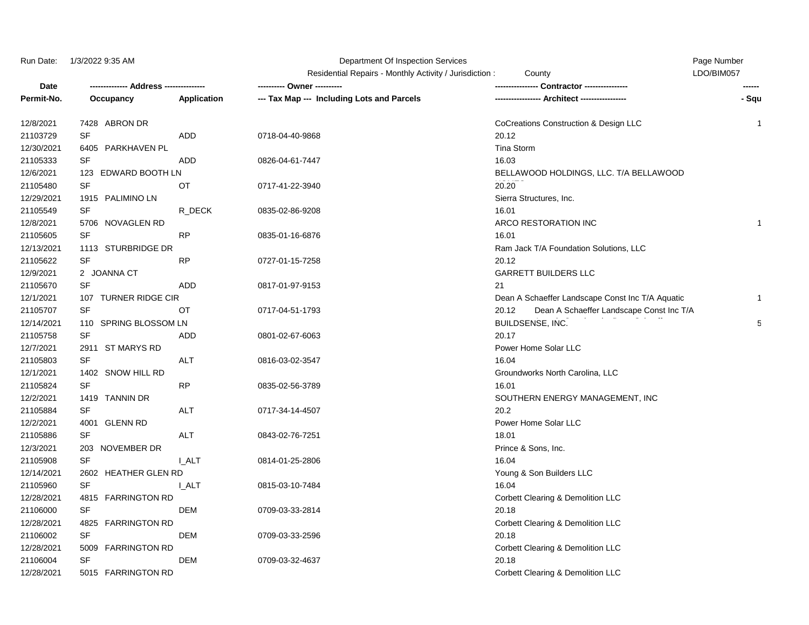## Run Date: 1/3/2022 9:35 AM **Department Of Inspection Services** Page Number Page Number

|            |                       |                    | Residential Repairs - Monthly Activity / Jurisdiction: | County                                            | LDO/BIM057   |
|------------|-----------------------|--------------------|--------------------------------------------------------|---------------------------------------------------|--------------|
| Date       |                       |                    |                                                        | Contractor ---------------                        |              |
| Permit-No. | Occupancy             | <b>Application</b> | --- Tax Map --- Including Lots and Parcels             |                                                   | - Squ        |
| 12/8/2021  | 7428 ABRON DR         |                    |                                                        | CoCreations Construction & Design LLC             | 1            |
| 21103729   | <b>SF</b>             | <b>ADD</b>         | 0718-04-40-9868                                        | 20.12                                             |              |
| 12/30/2021 | 6405 PARKHAVEN PL     |                    |                                                        | Tina Storm                                        |              |
| 21105333   | <b>SF</b>             | <b>ADD</b>         | 0826-04-61-7447                                        | 16.03                                             |              |
| 12/6/2021  | 123 EDWARD BOOTH LN   |                    |                                                        | BELLAWOOD HOLDINGS, LLC. T/A BELLAWOOD            |              |
| 21105480   | <b>SF</b>             | <b>OT</b>          | 0717-41-22-3940                                        | 20.20                                             |              |
| 12/29/2021 | 1915 PALIMINO LN      |                    |                                                        | Sierra Structures, Inc.                           |              |
| 21105549   | <b>SF</b>             | R_DECK             | 0835-02-86-9208                                        | 16.01                                             |              |
| 12/8/2021  | 5706 NOVAGLEN RD      |                    |                                                        | ARCO RESTORATION INC                              | $\mathbf{1}$ |
| 21105605   | <b>SF</b>             | <b>RP</b>          | 0835-01-16-6876                                        | 16.01                                             |              |
| 12/13/2021 | 1113 STURBRIDGE DR    |                    |                                                        | Ram Jack T/A Foundation Solutions, LLC            |              |
| 21105622   | <b>SF</b>             | <b>RP</b>          | 0727-01-15-7258                                        | 20.12                                             |              |
| 12/9/2021  | 2 JOANNA CT           |                    |                                                        | <b>GARRETT BUILDERS LLC</b>                       |              |
| 21105670   | <b>SF</b>             | <b>ADD</b>         | 0817-01-97-9153                                        | 21                                                |              |
| 12/1/2021  | 107 TURNER RIDGE CIR  |                    |                                                        | Dean A Schaeffer Landscape Const Inc T/A Aquatic  | 1            |
| 21105707   | <b>SF</b>             | OT                 | 0717-04-51-1793                                        | Dean A Schaeffer Landscape Const Inc T/A<br>20.12 |              |
| 12/14/2021 | 110 SPRING BLOSSOM LN |                    |                                                        | BUILDSENSE, INC.                                  | 5            |
| 21105758   | <b>SF</b>             | ADD                | 0801-02-67-6063                                        | 20.17                                             |              |
| 12/7/2021  | 2911 ST MARYS RD      |                    |                                                        | Power Home Solar LLC                              |              |
| 21105803   | <b>SF</b>             | ALT                | 0816-03-02-3547                                        | 16.04                                             |              |
| 12/1/2021  | 1402 SNOW HILL RD     |                    |                                                        | Groundworks North Carolina, LLC                   |              |
| 21105824   | <b>SF</b>             | <b>RP</b>          | 0835-02-56-3789                                        | 16.01                                             |              |
| 12/2/2021  | 1419 TANNIN DR        |                    |                                                        | SOUTHERN ENERGY MANAGEMENT, INC                   |              |
| 21105884   | <b>SF</b>             | <b>ALT</b>         | 0717-34-14-4507                                        | 20.2                                              |              |
| 12/2/2021  | 4001 GLENN RD         |                    |                                                        | Power Home Solar LLC                              |              |
| 21105886   | SF                    | <b>ALT</b>         | 0843-02-76-7251                                        | 18.01                                             |              |
| 12/3/2021  | 203 NOVEMBER DR       |                    |                                                        | Prince & Sons, Inc.                               |              |
| 21105908   | <b>SF</b>             | <b>I_ALT</b>       | 0814-01-25-2806                                        | 16.04                                             |              |
| 12/14/2021 | 2602 HEATHER GLEN RD  |                    |                                                        | Young & Son Builders LLC                          |              |
| 21105960   | <b>SF</b>             | <b>L_ALT</b>       | 0815-03-10-7484                                        | 16.04                                             |              |
| 12/28/2021 | 4815 FARRINGTON RD    |                    |                                                        | Corbett Clearing & Demolition LLC                 |              |
| 21106000   | <b>SF</b>             | DEM                | 0709-03-33-2814                                        | 20.18                                             |              |
| 12/28/2021 | 4825 FARRINGTON RD    |                    |                                                        | Corbett Clearing & Demolition LLC                 |              |
| 21106002   | <b>SF</b>             | <b>DEM</b>         | 0709-03-33-2596                                        | 20.18                                             |              |
| 12/28/2021 | 5009 FARRINGTON RD    |                    |                                                        | Corbett Clearing & Demolition LLC                 |              |
| 21106004   | <b>SF</b>             | DEM                | 0709-03-32-4637                                        | 20.18                                             |              |
| 12/28/2021 | 5015 FARRINGTON RD    |                    |                                                        | Corbett Clearing & Demolition LLC                 |              |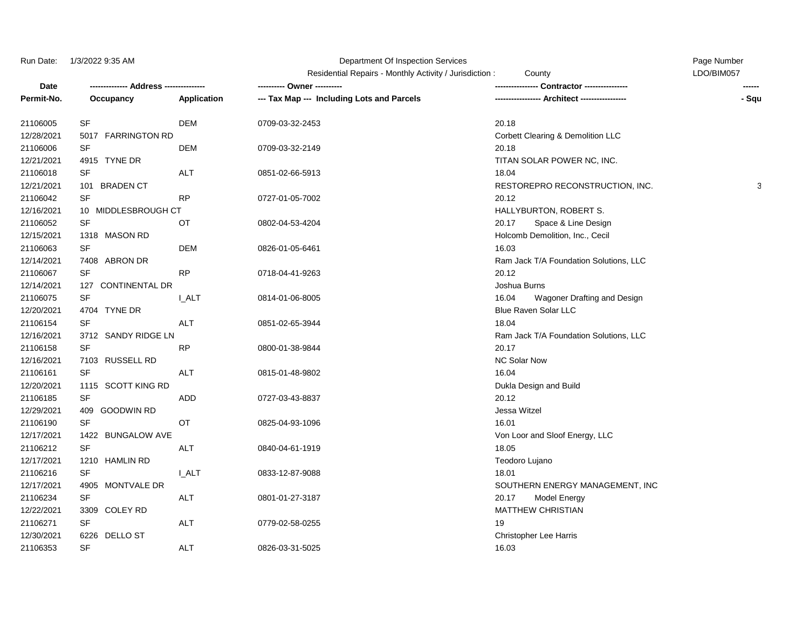## Run Date: 1/3/2022 9:35 AM Page Number Cf Inspection Services CF 2014 2014 2015 2016

Residential Repairs - Monthly Activity / Jurisdiction : County County Communication CDO/BIM057

| Date       |                     |              |                                            | Contractor ----------------            |       |
|------------|---------------------|--------------|--------------------------------------------|----------------------------------------|-------|
| Permit-No. | Occupancy           | Application  | --- Tax Map --- Including Lots and Parcels | Architect -----------------            | - Squ |
| 21106005   | SF                  | <b>DEM</b>   | 0709-03-32-2453                            | 20.18                                  |       |
| 12/28/2021 | 5017 FARRINGTON RD  |              |                                            | Corbett Clearing & Demolition LLC      |       |
| 21106006   | <b>SF</b>           | <b>DEM</b>   | 0709-03-32-2149                            | 20.18                                  |       |
| 12/21/2021 | 4915 TYNE DR        |              |                                            | TITAN SOLAR POWER NC, INC.             |       |
| 21106018   | SF                  | <b>ALT</b>   | 0851-02-66-5913                            | 18.04                                  |       |
| 12/21/2021 | 101 BRADEN CT       |              |                                            | RESTOREPRO RECONSTRUCTION, INC.        | 3     |
| 21106042   | <b>SF</b>           | <b>RP</b>    | 0727-01-05-7002                            | 20.12                                  |       |
| 12/16/2021 | 10 MIDDLESBROUGH CT |              |                                            | HALLYBURTON, ROBERT S.                 |       |
| 21106052   | <b>SF</b>           | ОT           | 0802-04-53-4204                            | 20.17<br>Space & Line Design           |       |
| 12/15/2021 | 1318 MASON RD       |              |                                            | Holcomb Demolition, Inc., Cecil        |       |
| 21106063   | SF                  | <b>DEM</b>   | 0826-01-05-6461                            | 16.03                                  |       |
| 12/14/2021 | 7408 ABRON DR       |              |                                            | Ram Jack T/A Foundation Solutions, LLC |       |
| 21106067   | SF                  | <b>RP</b>    | 0718-04-41-9263                            | 20.12                                  |       |
| 12/14/2021 | 127 CONTINENTAL DR  |              |                                            | Joshua Burns                           |       |
| 21106075   | SF                  | <b>LALT</b>  | 0814-01-06-8005                            | 16.04<br>Wagoner Drafting and Design   |       |
| 12/20/2021 | 4704 TYNE DR        |              |                                            | Blue Raven Solar LLC                   |       |
| 21106154   | SF                  | ALT          | 0851-02-65-3944                            | 18.04                                  |       |
| 12/16/2021 | 3712 SANDY RIDGE LN |              |                                            | Ram Jack T/A Foundation Solutions, LLC |       |
| 21106158   | <b>SF</b>           | <b>RP</b>    | 0800-01-38-9844                            | 20.17                                  |       |
| 12/16/2021 | 7103 RUSSELL RD     |              |                                            | <b>NC Solar Now</b>                    |       |
| 21106161   | <b>SF</b>           | <b>ALT</b>   | 0815-01-48-9802                            | 16.04                                  |       |
| 12/20/2021 | 1115 SCOTT KING RD  |              |                                            | Dukla Design and Build                 |       |
| 21106185   | <b>SF</b>           | ADD          | 0727-03-43-8837                            | 20.12                                  |       |
| 12/29/2021 | 409 GOODWIN RD      |              |                                            | Jessa Witzel                           |       |
| 21106190   | SF                  | OT           | 0825-04-93-1096                            | 16.01                                  |       |
| 12/17/2021 | 1422 BUNGALOW AVE   |              |                                            | Von Loor and Sloof Energy, LLC         |       |
| 21106212   | <b>SF</b>           | <b>ALT</b>   | 0840-04-61-1919                            | 18.05                                  |       |
| 12/17/2021 | 1210 HAMLIN RD      |              |                                            | Teodoro Lujano                         |       |
| 21106216   | SF                  | <b>I_ALT</b> | 0833-12-87-9088                            | 18.01                                  |       |
| 12/17/2021 | 4905 MONTVALE DR    |              |                                            | SOUTHERN ENERGY MANAGEMENT, INC        |       |
| 21106234   | SF                  | <b>ALT</b>   | 0801-01-27-3187                            | 20.17<br><b>Model Energy</b>           |       |
| 12/22/2021 | 3309 COLEY RD       |              |                                            | <b>MATTHEW CHRISTIAN</b>               |       |
| 21106271   | SF                  | <b>ALT</b>   | 0779-02-58-0255                            | 19                                     |       |
| 12/30/2021 | 6226 DELLO ST       |              |                                            | <b>Christopher Lee Harris</b>          |       |
| 21106353   | SF                  | <b>ALT</b>   | 0826-03-31-5025                            | 16.03                                  |       |
|            |                     |              |                                            |                                        |       |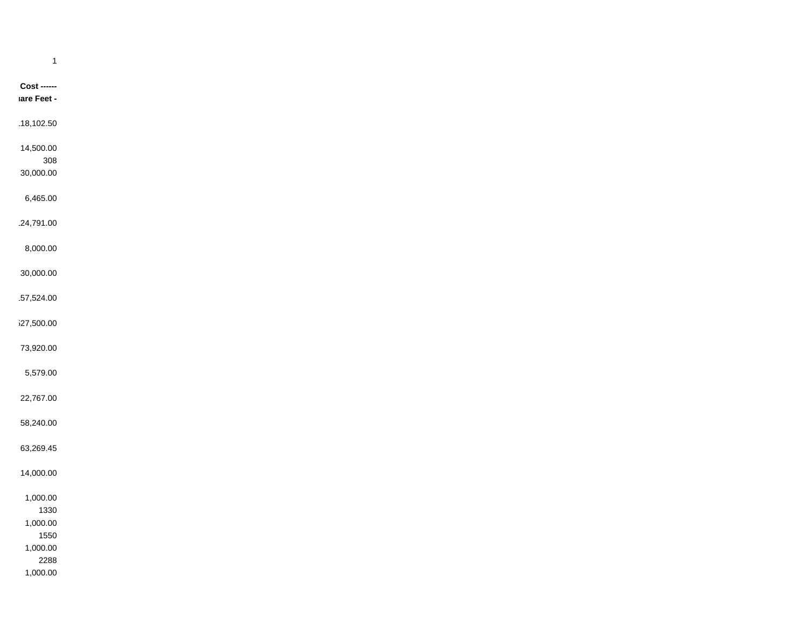| $\mathbf{1}$           |
|------------------------|
|                        |
| $\textsf{Cost}$ ------ |
| lare Feet -            |
|                        |
| 18,102.50              |
| 14,500.00              |
| 308                    |
| 30,000.00              |
|                        |
| 6,465.00               |
| 24,791.00              |
|                        |
| 8,000.00               |
| 30,000.00              |
|                        |
| 57,524.00              |
|                        |
| i27,500.00             |
| 73,920.00              |
|                        |
| 5,579.00               |
| 22,767.00              |
|                        |
| 58,240.00              |
|                        |
| 63,269.45              |
| 14,000.00              |
|                        |
| 1,000.00               |
| 1330                   |
| 1,000.00<br>1550       |
| 1,000.00               |
| 2288                   |
| 1,000.00               |